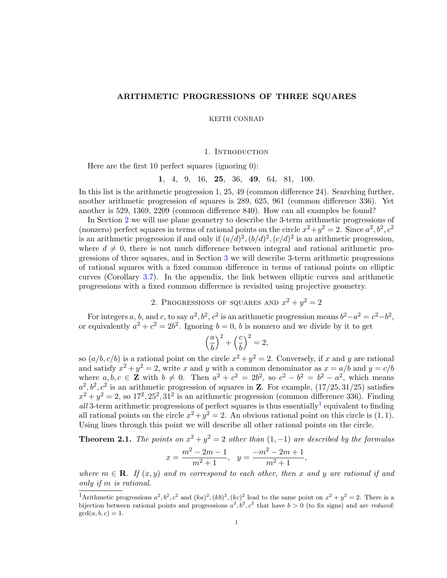# ARITHMETIC PROGRESSIONS OF THREE SQUARES

KEITH CONRAD

1. INTRODUCTION

Here are the first 10 perfect squares (ignoring 0):

1, 4, 9, 16, 25, 36, 49, 64, 81, 100.

In this list is the arithmetic progression 1, 25, 49 (common difference 24). Searching further, another arithmetic progression of squares is 289, 625, 961 (common difference 336). Yet another is 529, 1369, 2209 (common difference 840). How can all examples be found?

In Section [2](#page-0-0) we will use plane geometry to describe the 3-term arithmetic progressions of (nonzero) perfect squares in terms of rational points on the circle  $x^2 + y^2 = 2$ . Since  $a^2, b^2, c^2$ is an arithmetic progression if and only if  $(a/d)^2$ ,  $(b/d)^2$ ,  $(c/d)^2$  is an arithmetic progression, where  $d \neq 0$ , there is not much difference between integral and rational arithmetic progressions of three squares, and in Section [3](#page-2-0) we will describe 3-term arithmetic progressions of rational squares with a fixed common difference in terms of rational points on elliptic curves (Corollary [3.7\)](#page-5-0). In the appendix, the link between elliptic curves and arithmetic progressions with a fixed common difference is revisited using projective geometry.

2. PROGRESSIONS OF SQUARES AND  $x^2 + y^2 = 2$ 

<span id="page-0-0"></span>For integers a, b, and c, to say  $a^2$ ,  $b^2$ ,  $c^2$  is an arithmetic progression means  $b^2-a^2=c^2-b^2$ , or equivalently  $a^2 + c^2 = 2b^2$ . Ignoring  $b = 0$ , b is nonzero and we divide by it to get

$$
\left(\frac{a}{b}\right)^2 + \left(\frac{c}{b}\right)^2 = 2,
$$

so  $(a/b, c/b)$  is a rational point on the circle  $x^2 + y^2 = 2$ . Conversely, if x and y are rational and satisfy  $x^2 + y^2 = 2$ , write x and y with a common denominator as  $x = a/b$  and  $y = c/b$ where  $a, b, c \in \mathbb{Z}$  with  $b \neq 0$ . Then  $a^2 + c^2 = 2b^2$ , so  $c^2 - b^2 = b^2 - a^2$ , which means  $a^2, b^2, c^2$  is an arithmetic progression of squares in **Z**. For example,  $(17/25, 31/25)$  satisfies  $x^2 + y^2 = 2$ , so  $17^2, 25^2, 31^2$  is an arithmetic progression (common difference 336). Finding all 3-term arithmetic progressions of perfect squares is thus essentially<sup>[1](#page-0-1)</sup> equivalent to finding all rational points on the circle  $x^2 + y^2 = 2$ . An obvious rational point on this circle is (1, 1). Using lines through this point we will describe all other rational points on the circle.

<span id="page-0-2"></span>**Theorem 2.1.** The points on  $x^2 + y^2 = 2$  other than  $(1, -1)$  are described by the formulas

$$
x = \frac{m^2 - 2m - 1}{m^2 + 1}, \quad y = \frac{-m^2 - 2m + 1}{m^2 + 1},
$$

where  $m \in \mathbf{R}$ . If  $(x, y)$  and m correspond to each other, then x and y are rational if and only if m is rational.

<span id="page-0-1"></span><sup>&</sup>lt;sup>1</sup>Arithmetic progressions  $a^2, b^2, c^2$  and  $(ka)^2, (kb)^2, (kc)^2$  lead to the same point on  $x^2 + y^2 = 2$ . There is a bijection between rational points and progressions  $a^2, b^2, c^2$  that have  $b > 0$  (to fix signs) and are *reduced*:  $gcd(a, b, c) = 1.$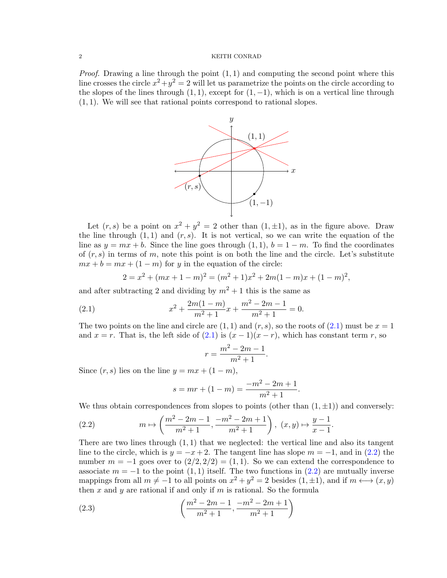#### 2 KEITH CONRAD

*Proof.* Drawing a line through the point  $(1, 1)$  and computing the second point where this line crosses the circle  $x^2 + y^2 = 2$  will let us parametrize the points on the circle according to the slopes of the lines through  $(1, 1)$ , except for  $(1, -1)$ , which is on a vertical line through (1, 1). We will see that rational points correspond to rational slopes.



Let  $(r, s)$  be a point on  $x^2 + y^2 = 2$  other than  $(1, \pm 1)$ , as in the figure above. Draw the line through  $(1, 1)$  and  $(r, s)$ . It is not vertical, so we can write the equation of the line as  $y = mx + b$ . Since the line goes through  $(1, 1)$ ,  $b = 1 - m$ . To find the coordinates of  $(r, s)$  in terms of m, note this point is on both the line and the circle. Let's substitute  $mx + b = mx + (1 - m)$  for y in the equation of the circle:

$$
2 = x2 + (mx + 1 - m)2 = (m2 + 1)x2 + 2m(1 - m)x + (1 - m)2,
$$

and after subtracting 2 and dividing by  $m^2 + 1$  this is the same as

(2.1) 
$$
x^2 + \frac{2m(1-m)}{m^2+1}x + \frac{m^2-2m-1}{m^2+1} = 0.
$$

The two points on the line and circle are  $(1,1)$  and  $(r, s)$ , so the roots of  $(2.1)$  must be  $x = 1$ and  $x = r$ . That is, the left side of  $(2.1)$  is  $(x - 1)(x - r)$ , which has constant term r, so

<span id="page-1-0"></span>
$$
r = \frac{m^2 - 2m - 1}{m^2 + 1}.
$$

Since  $(r, s)$  lies on the line  $y = mx + (1 - m)$ ,

<span id="page-1-1"></span>
$$
s = mr + (1 - m) = \frac{-m^2 - 2m + 1}{m^2 + 1}.
$$

We thus obtain correspondences from slopes to points (other than  $(1, \pm 1)$ ) and conversely:

(2.2) 
$$
m \mapsto \left(\frac{m^2 - 2m - 1}{m^2 + 1}, \frac{-m^2 - 2m + 1}{m^2 + 1}\right), (x, y) \mapsto \frac{y - 1}{x - 1}.
$$

There are two lines through  $(1, 1)$  that we neglected: the vertical line and also its tangent line to the circle, which is  $y = -x + 2$ . The tangent line has slope  $m = -1$ , and in [\(2.2\)](#page-1-1) the number  $m = -1$  goes over to  $(2/2, 2/2) = (1, 1)$ . So we can extend the correspondence to associate  $m = -1$  to the point  $(1, 1)$  itself. The two functions in  $(2.2)$  are mutually inverse mappings from all  $m \neq -1$  to all points on  $x^2 + y^2 = 2$  besides  $(1, \pm 1)$ , and if  $m \leftrightarrow (x, y)$ then  $x$  and  $y$  are rational if and only if  $m$  is rational. So the formula

(2.3) 
$$
\left(\frac{m^2 - 2m - 1}{m^2 + 1}, \frac{-m^2 - 2m + 1}{m^2 + 1}\right)
$$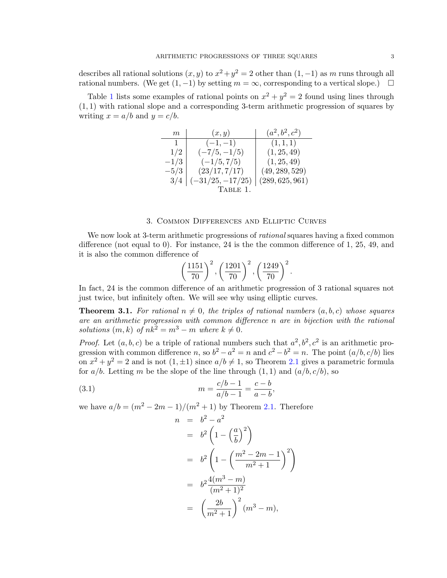describes all rational solutions  $(x, y)$  to  $x^2 + y^2 = 2$  other than  $(1, -1)$  as m runs through all rational numbers. (We get  $(1, -1)$  by setting  $m = \infty$ , corresponding to a vertical slope.)  $\Box$ 

Table [1](#page-2-1) lists some examples of rational points on  $x^2 + y^2 = 2$  found using lines through  $(1, 1)$  with rational slope and a corresponding 3-term arithmetic progression of squares by writing  $x = a/b$  and  $y = c/b$ .

| $_{m}$       | (x, y)                         | $(a^2, b^2, c^2)$ |
|--------------|--------------------------------|-------------------|
| $\mathbf{1}$ | $(-1,-1)$                      | (1, 1, 1)         |
| 1/2          | $(-7/5, -1/5)$                 | (1, 25, 49)       |
| $-1/3$       | $(-1/5, 7/5)$                  | (1, 25, 49)       |
| $-5/3$       | (23/17, 7/17)                  | (49, 289, 529)    |
| 3/4          | $\vert (-31/25, -17/25) \vert$ | (289, 625, 961)   |
|              | TABLE 1.                       |                   |

## 3. Common Differences and Elliptic Curves

<span id="page-2-0"></span>We now look at 3-term arithmetic progressions of *rational* squares having a fixed common difference (not equal to 0). For instance, 24 is the the common difference of 1, 25, 49, and it is also the common difference of

<span id="page-2-1"></span>
$$
\left(\frac{1151}{70}\right)^2, \left(\frac{1201}{70}\right)^2, \left(\frac{1249}{70}\right)^2.
$$

In fact, 24 is the common difference of an arithmetic progression of 3 rational squares not just twice, but infinitely often. We will see why using elliptic curves.

<span id="page-2-3"></span>**Theorem 3.1.** For rational  $n \neq 0$ , the triples of rational numbers  $(a, b, c)$  whose squares are an arithmetic progression with common difference n are in bijection with the rational solutions  $(m, k)$  of  $nk^2 = m^3 - m$  where  $k \neq 0$ .

*Proof.* Let  $(a, b, c)$  be a triple of rational numbers such that  $a^2, b^2, c^2$  is an arithmetic progression with common difference n, so  $b^2 - a^2 = n$  and  $c^2 - b^2 = n$ . The point  $(a/b, c/b)$  lies on  $x^2 + y^2 = 2$  and is not  $(1, \pm 1)$  since  $a/b \neq 1$ , so Theorem [2.1](#page-0-2) gives a parametric formula for  $a/b$ . Letting m be the slope of the line through  $(1, 1)$  and  $(a/b, c/b)$ , so

(3.1) 
$$
m = \frac{c/b - 1}{a/b - 1} = \frac{c - b}{a - b},
$$

we have  $a/b = (m^2 - 2m - 1)/(m^2 + 1)$  by Theorem [2.1.](#page-0-2) Therefore

<span id="page-2-2"></span>
$$
n = b2 - a2
$$
  
=  $b2 \left( 1 - \left( \frac{a}{b} \right)^{2} \right)$   
=  $b2 \left( 1 - \left( \frac{m^{2} - 2m - 1}{m^{2} + 1} \right)^{2} \right)$   
=  $b2 \frac{4(m^{3} - m)}{(m^{2} + 1)^{2}}$   
=  $\left( \frac{2b}{m^{2} + 1} \right)^{2} (m^{3} - m),$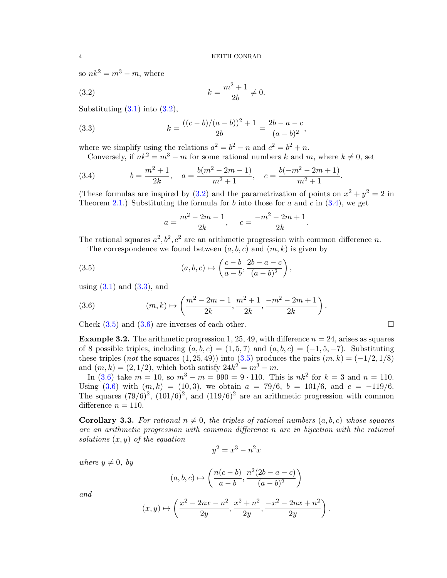so  $nk^2 = m^3 - m$ , where

<span id="page-3-0"></span>(3.2) 
$$
k = \frac{m^2 + 1}{2b} \neq 0.
$$

Substituting  $(3.1)$  into  $(3.2)$ ,

<span id="page-3-2"></span>(3.3) 
$$
k = \frac{((c-b)/(a-b))^2 + 1}{2b} = \frac{2b-a-c}{(a-b)^2},
$$

where we simplify using the relations  $a^2 = b^2 - n$  and  $c^2 = b^2 + n$ .

<span id="page-3-1"></span>Conversely, if 
$$
nk^2 = m^3 - m
$$
 for some rational numbers k and m, where  $k \neq 0$ , set

(3.4) 
$$
b = \frac{m^2 + 1}{2k}, \quad a = \frac{b(m^2 - 2m - 1)}{m^2 + 1}, \quad c = \frac{b(-m^2 - 2m + 1)}{m^2 + 1}.
$$

(These formulas are inspired by  $(3.2)$  and the parametrization of points on  $x^2 + y^2 = 2$  in Theorem [2.1.](#page-0-2)) Substituting the formula for b into those for a and c in  $(3.4)$ , we get

<span id="page-3-3"></span>
$$
a = \frac{m^2 - 2m - 1}{2k}, \quad c = \frac{-m^2 - 2m + 1}{2k}.
$$

The rational squares  $a^2, b^2, c^2$  are an arithmetic progression with common difference n.

The correspondence we found between 
$$
(a, b, c)
$$
 and  $(m, k)$  is given by

(3.5) 
$$
(a, b, c) \mapsto \left(\frac{c-b}{a-b}, \frac{2b-a-c}{(a-b)^2}\right),
$$

using  $(3.1)$  and  $(3.3)$ , and

<span id="page-3-4"></span>(3.6) 
$$
(m,k) \mapsto \left(\frac{m^2 - 2m - 1}{2k}, \frac{m^2 + 1}{2k}, \frac{-m^2 - 2m + 1}{2k}\right).
$$

Check  $(3.5)$  and  $(3.6)$  are inverses of each other.

**Example 3.2.** The arithmetic progression 1, 25, 49, with difference  $n = 24$ , arises as squares of 8 possible triples, including  $(a, b, c) = (1, 5, 7)$  and  $(a, b, c) = (-1, 5, -7)$ . Substituting these triples (not the squares  $(1, 25, 49)$ ) into  $(3.5)$  produces the pairs  $(m, k) = (-1/2, 1/8)$ and  $(m, k) = (2, 1/2)$ , which both satisfy  $24k^2 = m^3 - m$ .

In [\(3.6\)](#page-3-4) take  $m = 10$ , so  $m^3 - m = 990 = 9 \cdot 110$ . This is  $nk^2$  for  $k = 3$  and  $n = 110$ . Using [\(3.6\)](#page-3-4) with  $(m, k) = (10, 3)$ , we obtain  $a = 79/6$ ,  $b = 101/6$ , and  $c = -119/6$ . The squares  $(79/6)^2$ ,  $(101/6)^2$ , and  $(119/6)^2$  are an arithmetic progression with common difference  $n = 110$ .

<span id="page-3-5"></span>**Corollary 3.3.** For rational  $n \neq 0$ , the triples of rational numbers  $(a, b, c)$  whose squares are an arithmetic progression with common difference n are in bijection with the rational solutions  $(x, y)$  of the equation

$$
y^2 = x^3 - n^2x
$$

where  $y \neq 0$ , by

$$
(a, b, c) \mapsto \left(\frac{n(c-b)}{a-b}, \frac{n^2(2b-a-c)}{(a-b)^2}\right)
$$

and

$$
(x,y)\mapsto \left(\frac{x^2-2nx-n^2}{2y}, \frac{x^2+n^2}{2y}, \frac{-x^2-2nx+n^2}{2y}\right).
$$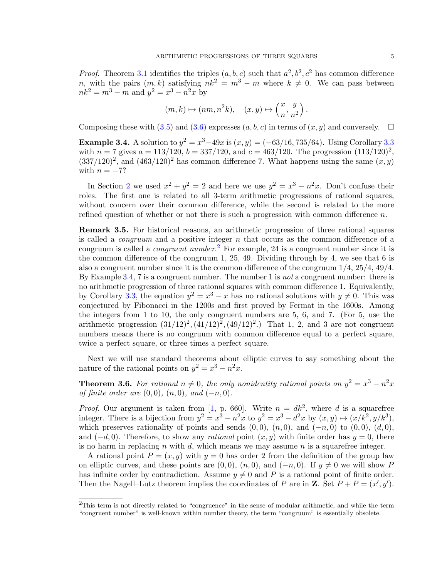*Proof.* Theorem [3.1](#page-2-3) identifies the triples  $(a, b, c)$  such that  $a^2, b^2, c^2$  has common difference n, with the pairs  $(m, k)$  satisfying  $nk^2 = m^3 - m$  where  $k \neq 0$ . We can pass between  $nk^2 = m^3 - m$  and  $y^2 = x^3 - n^2x$  by

$$
(m,k)\mapsto(nm,n^2k),\quad (x,y)\mapsto \left(\frac{x}{n},\frac{y}{n^2}\right).
$$

Composing these with [\(3.5\)](#page-3-3) and [\(3.6\)](#page-3-4) expresses  $(a, b, c)$  in terms of  $(x, y)$  and conversely.  $\Box$ 

<span id="page-4-1"></span>**Example 3.4.** A solution to  $y^2 = x^3 - 49x$  is  $(x, y) = (-63/16, 735/64)$ . Using Corollary [3.3](#page-3-5) with  $n = 7$  gives  $a = 113/120$ ,  $b = 337/120$ , and  $c = 463/120$ . The progression  $(113/120)^2$ ,  $(337/120)^2$ , and  $(463/120)^2$  has common difference 7. What happens using the same  $(x, y)$ with  $n = -7$ ?

In Section [2](#page-0-0) we used  $x^2 + y^2 = 2$  and here we use  $y^2 = x^3 - n^2x$ . Don't confuse their roles. The first one is related to all 3-term arithmetic progressions of rational squares, without concern over their common difference, while the second is related to the more refined question of whether or not there is such a progression with common difference  $n$ .

Remark 3.5. For historical reasons, an arithmetic progression of three rational squares is called a *congruum* and a positive integer  $n$  that occurs as the common difference of a congruum is called a *congruent number*.<sup>[2](#page-4-0)</sup> For example, 24 is a congruent number since it is the common difference of the congruum 1, 25, 49. Dividing through by 4, we see that 6 is also a congruent number since it is the common difference of the congruum 1/4, 25/4, 49/4. By Example [3.4,](#page-4-1) 7 is a congruent number. The number 1 is *not* a congruent number: there is no arithmetic progression of three rational squares with common difference 1. Equivalently, by Corollary [3.3,](#page-3-5) the equation  $y^2 = x^3 - x$  has no rational solutions with  $y \neq 0$ . This was conjectured by Fibonacci in the 1200s and first proved by Fermat in the 1600s. Among the integers from 1 to 10, the only congruent numbers are 5, 6, and 7. (For 5, use the arithmetic progression  $(31/12)^2$ ,  $(41/12)^2$ ,  $(49/12)^2$ .) That 1, 2, and 3 are not congruent numbers means there is no congruum with common difference equal to a perfect square, twice a perfect square, or three times a perfect square.

Next we will use standard theorems about elliptic curves to say something about the nature of the rational points on  $y^2 = x^3 - n^2x$ .

<span id="page-4-2"></span>**Theorem 3.6.** For rational  $n \neq 0$ , the only nonidentity rational points on  $y^2 = x^3 - n^2x$ of finite order are  $(0, 0)$ ,  $(n, 0)$ , and  $(-n, 0)$ .

*Proof.* Our argument is taken from [\[1,](#page-10-0) p. 660]. Write  $n = dk^2$ , where d is a squarefree integer. There is a bijection from  $y^2 = x^3 - n^2x$  to  $y^2 = x^3 - d^2x$  by  $(x, y) \mapsto (x/k^2, y/k^3)$ , which preserves rationality of points and sends  $(0, 0)$ ,  $(n, 0)$ , and  $(-n, 0)$  to  $(0, 0)$ ,  $(d, 0)$ , and  $(-d, 0)$ . Therefore, to show any *rational* point  $(x, y)$  with finite order has  $y = 0$ , there is no harm in replacing n with d, which means we may assume n is a squarefree integer.

A rational point  $P = (x, y)$  with  $y = 0$  has order 2 from the definition of the group law on elliptic curves, and these points are  $(0, 0)$ ,  $(n, 0)$ , and  $(-n, 0)$ . If  $y \neq 0$  we will show P has infinite order by contradiction. Assume  $y \neq 0$  and P is a rational point of finite order. Then the Nagell–Lutz theorem implies the coordinates of P are in **Z**. Set  $P + P = (x', y')$ .

<span id="page-4-0"></span><sup>&</sup>lt;sup>2</sup>This term is not directly related to "congruence" in the sense of modular arithmetic, and while the term "congruent number" is well-known within number theory, the term "congruum" is essentially obsolete.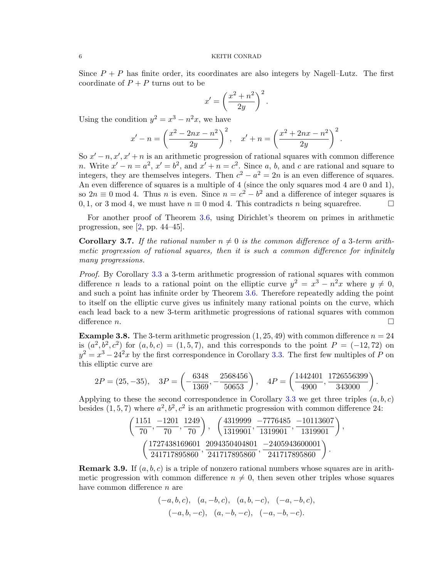Since  $P + P$  has finite order, its coordinates are also integers by Nagell–Lutz. The first coordinate of  $P + P$  turns out to be

$$
x' = \left(\frac{x^2 + n^2}{2y}\right)^2.
$$

Using the condition  $y^2 = x^3 - n^2x$ , we have

$$
x' - n = \left(\frac{x^2 - 2nx - n^2}{2y}\right)^2, \quad x' + n = \left(\frac{x^2 + 2nx - n^2}{2y}\right)^2.
$$

So  $x'-n, x', x'+n$  is an arithmetic progression of rational squares with common difference n. Write  $x'-n=a^2$ ,  $x'=b^2$ , and  $x'+n=c^2$ . Since a, b, and c are rational and square to integers, they are themselves integers. Then  $c^2 - a^2 = 2n$  is an even difference of squares. An even difference of squares is a multiple of 4 (since the only squares mod 4 are 0 and 1), so  $2n \equiv 0 \mod 4$ . Thus *n* is even. Since  $n = c^2 - b^2$  and a difference of integer squares is 0, 1, or 3 mod 4, we must have  $n \equiv 0 \mod 4$ . This contradicts n being squarefree.  $\Box$ 

For another proof of Theorem [3.6,](#page-4-2) using Dirichlet's theorem on primes in arithmetic progression, see  $[2, pp. 44-45]$  $[2, pp. 44-45]$ .

<span id="page-5-0"></span>**Corollary 3.7.** If the rational number  $n \neq 0$  is the common difference of a 3-term arithmetic progression of rational squares, then it is such a common difference for infinitely many progressions.

Proof. By Corollary [3.3](#page-3-5) a 3-term arithmetic progression of rational squares with common difference *n* leads to a rational point on the elliptic curve  $y^2 = x^3 - n^2x$  where  $y \neq 0$ , and such a point has infinite order by Theorem [3.6.](#page-4-2) Therefore repeatedly adding the point to itself on the elliptic curve gives us infinitely many rational points on the curve, which each lead back to a new 3-term arithmetic progressions of rational squares with common difference *n*.

**Example 3.8.** The 3-term arithmetic progression  $(1, 25, 49)$  with common difference  $n = 24$ is  $(a^2, b^2, c^2)$  for  $(a, b, c) = (1, 5, 7)$ , and this corresponds to the point  $P = (-12, 72)$  on  $y^2 = x^3 - 24^2x$  by the first correspondence in Corollary [3.3.](#page-3-5) The first few multiples of P on this elliptic curve are

$$
2P = (25, -35), \quad 3P = \left(-\frac{6348}{1369}, -\frac{2568456}{50653}\right), \quad 4P = \left(\frac{1442401}{4900}, \frac{1726556399}{343000}\right).
$$

Applying to these the second correspondence in Corollary [3.3](#page-3-5) we get three triples  $(a, b, c)$ besides  $(1, 5, 7)$  where  $a^2, b^2, c^2$  is an arithmetic progression with common difference 24:

,

$$
\left(\frac{1151}{70}, \frac{-1201}{70}, \frac{1249}{70}\right), \quad \left(\frac{4319999}{1319901}, \frac{-7776485}{1319901}, \frac{-10113607}{1319901}\right)
$$

$$
\left(\frac{1727438169601}{241717895860}, \frac{2094350404801}{241717895860}, \frac{-2405943600001}{241717895860}\right).
$$

**Remark 3.9.** If  $(a, b, c)$  is a triple of nonzero rational numbers whose squares are in arithmetic progression with common difference  $n \neq 0$ , then seven other triples whose squares have common difference *n* are

$$
(-a, b, c), (a, -b, c), (a, b, -c), (-a, -b, c),
$$
  
 $(-a, b, -c), (a, -b, -c), (-a, -b, -c).$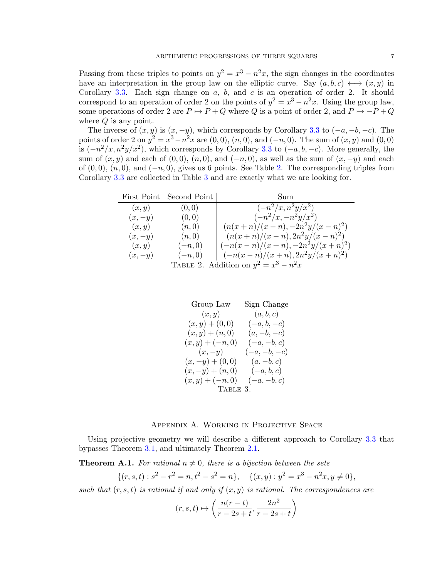Passing from these triples to points on  $y^2 = x^3 - n^2x$ , the sign changes in the coordinates have an interpretation in the group law on the elliptic curve. Say  $(a, b, c) \longleftrightarrow (x, y)$  in Corollary [3.3.](#page-3-5) Each sign change on  $a, b$ , and  $c$  is an operation of order 2. It should correspond to an operation of order 2 on the points of  $y^2 = x^3 - n^2x$ . Using the group law, some operations of order 2 are  $P \mapsto P + Q$  where Q is a point of order 2, and  $P \mapsto -P + Q$ where  $Q$  is any point.

The inverse of  $(x, y)$  is  $(x, -y)$ , which corresponds by Corollary [3.3](#page-3-5) to  $(-a, -b, -c)$ . The points of order 2 on  $y^2 = x^3 - n^2x$  are  $(0, 0), (n, 0)$ , and  $(-n, 0)$ . The sum of  $(x, y)$  and  $(0, 0)$ is  $(-n^2/x, n^2y/x^2)$ , which corresponds by Corollary [3.3](#page-3-5) to  $(-a, b, -c)$ . More generally, the sum of  $(x, y)$  and each of  $(0, 0)$ ,  $(n, 0)$ , and  $(-n, 0)$ , as well as the sum of  $(x, -y)$  and each of  $(0, 0)$ ,  $(n, 0)$ , and  $(-n, 0)$ , gives us 6 points. See Table [2.](#page-6-0) The corresponding triples from Corollary [3.3](#page-3-5) are collected in Table [3](#page-6-1) and are exactly what we are looking for.

|                                         | First Point   Second Point | Sum                                           |
|-----------------------------------------|----------------------------|-----------------------------------------------|
| (x,y)                                   | (0,0)                      | $(-n^2/x, n^2y/x^2)$                          |
| $(x, -y)$                               | (0, 0)                     | $(-n^2/x, -n^2y/x^2)$                         |
| (x, y)                                  | (n,0)                      | $(n(x+n)/(x-n),-2n^2y/(x-n)^2)$               |
| $(x, -y)$                               | (n,0)                      | $(n(x+n)/(x-n), 2n^2y/(x-n)^2)$               |
| (x,y)                                   | $(-n, 0)$                  | $\frac{(-n(x-n)}{(x+n)}, -2n^2y/(x+n)^2)$     |
| $(x, -y)$                               | $(-n, 0)$                  | $\vert -(n(x-n)/(x+n), 2n^2y/(x+n)^2)) \vert$ |
| TABLE 2. Addition on $y^2 = x^3 - n^2x$ |                            |                                               |

<span id="page-6-1"></span><span id="page-6-0"></span>

| Group Law          | Sign Change   |  |
|--------------------|---------------|--|
| (x, y)             | (a, b, c)     |  |
| $(x,y) + (0,0)$    | $(-a, b, -c)$ |  |
| $(x,y) + (n,0)$    | $(a,-b,-c)$   |  |
| $(x,y)+(-n,0)$     | $(-a,-b,c)$   |  |
| $(x, -y)$          | $(-a,-b,-c)$  |  |
| $(x, -y) + (0, 0)$ | $(a,-b,c)$    |  |
| $(x, -y) + (n, 0)$ | $(-a, b, c)$  |  |
| $(x,y)+(-n,0)$     | $(-a,-b,c)$   |  |
| TABLE 3.           |               |  |

## Appendix A. Working in Projective Space

Using projective geometry we will describe a different approach to Corollary [3.3](#page-3-5) that bypasses Theorem [3.1,](#page-2-3) and ultimately Theorem [2.1.](#page-0-2)

<span id="page-6-2"></span>**Theorem A.1.** For rational  $n \neq 0$ , there is a bijection between the sets

$$
\{(r, s, t) : s^2 - r^2 = n, t^2 - s^2 = n\}, \quad \{(x, y) : y^2 = x^3 - n^2x, y \neq 0\},\
$$

such that  $(r, s, t)$  is rational if and only if  $(x, y)$  is rational. The correspondences are

$$
(r,s,t)\mapsto \left(\frac{n(r-t)}{r-2s+t},\frac{2n^2}{r-2s+t}\right)
$$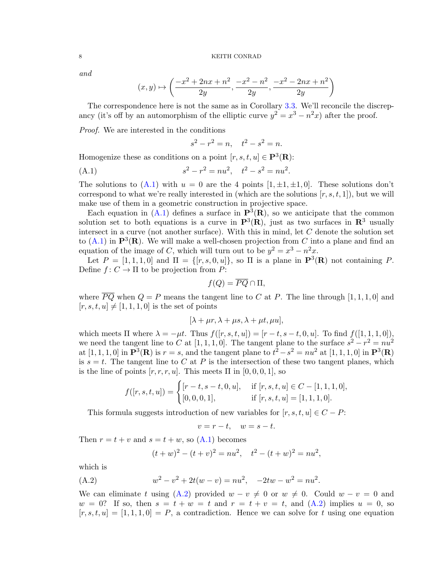and

$$
(x,y) \mapsto \left(\frac{-x^2 + 2nx + n^2}{2y}, \frac{-x^2 - n^2}{2y}, \frac{-x^2 - 2nx + n^2}{2y}\right)
$$

The correspondence here is not the same as in Corollary [3.3.](#page-3-5) We'll reconcile the discrepancy (it's off by an automorphism of the elliptic curve  $y^2 = x^3 - n^2x$ ) after the proof.

Proof. We are interested in the conditions

<span id="page-7-0"></span>
$$
s^2 - r^2 = n, \quad t^2 - s^2 = n.
$$

Homogenize these as conditions on a point  $[r, s, t, u] \in \mathbf{P}^{3}(\mathbf{R})$ :

(A.1) 
$$
s^2 - r^2 = nu^2, \quad t^2 - s^2 = nu^2.
$$

The solutions to [\(A.1\)](#page-7-0) with  $u = 0$  are the 4 points  $[1, \pm 1, \pm 1, 0]$ . These solutions don't correspond to what we're really interested in (which are the solutions  $[r, s, t, 1]$ ), but we will make use of them in a geometric construction in projective space.

Each equation in [\(A.1\)](#page-7-0) defines a surface in  $\mathbf{P}^3(\mathbf{R})$ , so we anticipate that the common solution set to both equations is a curve in  $\mathbf{P}^3(\mathbf{R})$ , just as two surfaces in  $\mathbf{R}^3$  usually intersect in a curve (not another surface). With this in mind, let  $C$  denote the solution set to  $(A.1)$  in  $\mathbf{P}^3(\mathbf{R})$ . We will make a well-chosen projection from C into a plane and find an equation of the image of C, which will turn out to be  $y^2 = x^3 - n^2x$ .

Let  $P = \begin{bmatrix} 1, 1, 1, 0 \end{bmatrix}$  and  $\Pi = \{ [r, s, 0, u] \}$ , so  $\Pi$  is a plane in  $\mathbf{P}^3(\mathbf{R})$  not containing P. Define  $f: C \to \Pi$  to be projection from P:

$$
f(Q) = \overline{PQ} \cap \Pi,
$$

where  $\overline{PQ}$  when  $Q = P$  means the tangent line to C at P. The line through [1, 1, 1, 0] and  $[r, s, t, u] \neq [1, 1, 1, 0]$  is the set of points

$$
[\lambda + \mu r, \lambda + \mu s, \lambda + \mu t, \mu u],
$$

which meets  $\Pi$  where  $\lambda = -\mu t$ . Thus  $f([r, s, t, u]) = [r - t, s - t, 0, u]$ . To find  $f([1, 1, 1, 0]),$ we need the tangent line to C at [1, 1, 1, 0]. The tangent plane to the surface  $s^2 - r^2 = nu^2$ at [1, 1, 1, 0] in  $\mathbf{P}^{3}(\mathbf{R})$  is  $r = s$ , and the tangent plane to  $t^{2} - s^{2} = nu^{2}$  at [1, 1, 1, 0] in  $\mathbf{P}^{3}(\mathbf{R})$ is  $s = t$ . The tangent line to C at P is the intersection of these two tangent planes, which is the line of points  $[r, r, r, u]$ . This meets  $\Pi$  in  $[0, 0, 0, 1]$ , so

$$
f([r, s, t, u]) = \begin{cases} [r - t, s - t, 0, u], & \text{if } [r, s, t, u] \in C - [1, 1, 1, 0], \\ [0, 0, 0, 1], & \text{if } [r, s, t, u] = [1, 1, 1, 0]. \end{cases}
$$

This formula suggests introduction of new variables for  $[r, s, t, u] \in C - P$ :

$$
v = r - t, \quad w = s - t.
$$

Then  $r = t + v$  and  $s = t + w$ , so  $(A.1)$  becomes

<span id="page-7-1"></span>
$$
(t+w)2 - (t+v)2 = nu2, t2 - (t+w)2 = nu2,
$$

which is

(A.2) 
$$
w^2 - v^2 + 2t(w - v) = nu^2, \quad -2tw - w^2 = nu^2.
$$

We can eliminate t using [\(A.2\)](#page-7-1) provided  $w - v \neq 0$  or  $w \neq 0$ . Could  $w - v = 0$  and  $w = 0$ ? If so, then  $s = t + w = t$  and  $r = t + v = t$ , and  $(A.2)$  implies  $u = 0$ , so  $[r, s, t, u] = [1, 1, 1, 0] = P$ , a contradiction. Hence we can solve for t using one equation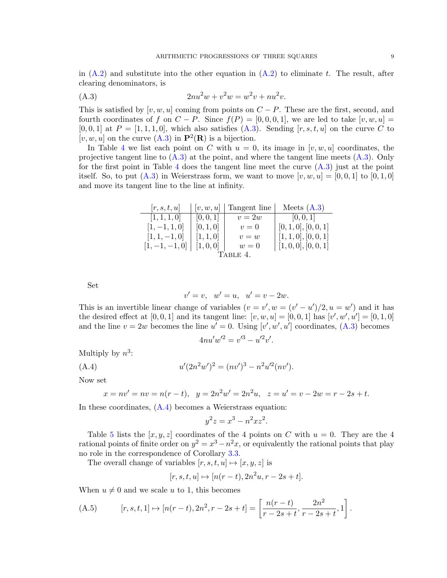in  $(A.2)$  and substitute into the other equation in  $(A.2)$  to eliminate t. The result, after clearing denominators, is

<span id="page-8-0"></span>(A.3) 
$$
2nu^2w + v^2w = w^2v + nu^2v.
$$

This is satisfied by [v, w, u] coming from points on  $C - P$ . These are the first, second, and fourth coordinates of f on  $C - P$ . Since  $f(P) = [0, 0, 0, 1]$ , we are led to take  $[v, w, u] =$  $[0, 0, 1]$  at  $P = [1, 1, 1, 0]$ , which also satisfies  $(A.3)$ . Sending  $[r, s, t, u]$  on the curve C to  $[v, w, u]$  on the curve  $(A.3)$  in  $\mathbf{P}^2(\mathbf{R})$  is a bijection.

In Table [4](#page-8-1) we list each point on C with  $u = 0$ , its image in  $[v, w, u]$  coordinates, the projective tangent line to  $(A.3)$  at the point, and where the tangent line meets  $(A.3)$ . Only for the first point in Table [4](#page-8-1) does the tangent line meet the curve  $(A.3)$  just at the point itself. So, to put  $(A.3)$  in Weierstrass form, we want to move  $[v, w, u] = [0, 0, 1]$  to  $[0, 1, 0]$ and move its tangent line to the line at infinity.

| [r, s, t, u]     | v,w,u     | Tangent line | Meets $(A.3)$                  |  |
|------------------|-----------|--------------|--------------------------------|--|
| [1, 1, 1, 0]     | [0, 0, 1] | $v=2w$       | [0, 0, 1]                      |  |
| $[1, -1, 1, 0]$  | [0, 1, 0] | $v=0$        | [0, 1, 0], [0, 0, 1]           |  |
| $[1, 1, -1, 0]$  | [1, 1, 0] | $v=w$        | [1, 1, 0], [0, 0, 1]           |  |
| $[1, -1, -1, 0]$ | [1, 0, 0] | $w=0$        | $\vert [1,0,0], [0,0,1] \vert$ |  |
| TABLE 4.         |           |              |                                |  |

Set

<span id="page-8-1"></span>
$$
v' = v
$$
,  $w' = u$ ,  $u' = v - 2w$ .

This is an invertible linear change of variables  $(v = v', w = (v' - u')/2, u = w')$  and it has the desired effect at [0, 0, 1] and its tangent line:  $[v, w, u] = [0, 0, 1]$  has  $[v', w', u'] = [0, 1, 0]$ and the line  $v = 2w$  becomes the line  $u' = 0$ . Using  $[v', w', u']$  coordinates, [\(A.3\)](#page-8-0) becomes

<span id="page-8-2"></span>
$$
4nu'w'^2 = v'^3 - u'^2v'.
$$

Multiply by  $n^3$ :

(A.4) 
$$
u'(2n^2w')^2 = (nv')^3 - n^2u'^2(nv').
$$

Now set

$$
x = nv' = nv = n(r - t), y = 2n2w' = 2n2u, z = u' = v - 2w = r - 2s + t.
$$

In these coordinates, [\(A.4\)](#page-8-2) becomes a Weierstrass equation:

$$
y^2z = x^3 - n^2xz^2.
$$

Table [5](#page-9-0) lists the  $[x, y, z]$  coordinates of the 4 points on C with  $u = 0$ . They are the 4 rational points of finite order on  $y^2 = x^3 - n^2x$ , or equivalently the rational points that play no role in the correspondence of Corollary [3.3.](#page-3-5)

The overall change of variables  $[r, s, t, u] \mapsto [x, y, z]$  is

$$
[r, s, t, u] \mapsto [n(r - t), 2n^2u, r - 2s + t].
$$

When  $u \neq 0$  and we scale u to 1, this becomes

<span id="page-8-3"></span>(A.5) 
$$
[r, s, t, 1] \mapsto [n(r - t), 2n^2, r - 2s + t] = \left[\frac{n(r - t)}{r - 2s + t}, \frac{2n^2}{r - 2s + t}, 1\right].
$$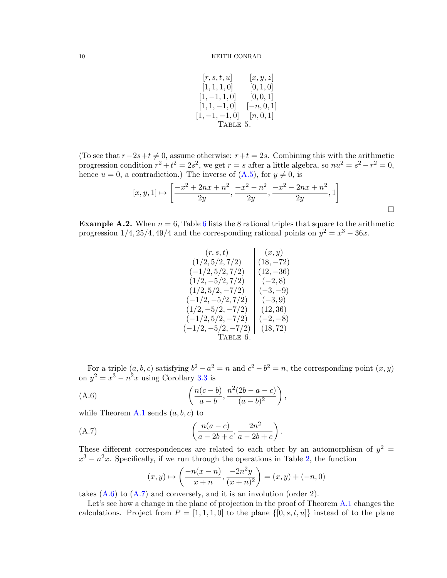<span id="page-9-0"></span>

| [r, s, t, u]     | [x, y, z]    |
|------------------|--------------|
| [1, 1, 1, 0]     | [0, 1, 0]    |
| $[1, -1, 1, 0]$  | [0, 0, 1]    |
| $[1, 1, -1, 0]$  | $[-n, 0, 1]$ |
| $[1, -1, -1, 0]$ | [n, 0, 1]    |
| TABLE 5.         |              |

(To see that  $r-2s+t \neq 0$ , assume otherwise:  $r+t = 2s$ . Combining this with the arithmetic progression condition  $r^2 + t^2 = 2s^2$ , we get  $r = s$  after a little algebra, so  $nu^2 = s^2 - r^2 = 0$ , hence  $u = 0$ , a contradiction.) The inverse of  $(A.5)$ , for  $y \neq 0$ , is

$$
[x, y, 1] \mapsto \left[ \frac{-x^2 + 2nx + n^2}{2y}, \frac{-x^2 - n^2}{2y}, \frac{-x^2 - 2nx + n^2}{2y}, 1 \right]
$$

**Example A.2.** When  $n = 6$  $n = 6$ , Table 6 lists the 8 rational triples that square to the arithmetic progression  $1/4$ ,  $25/4$ ,  $49/4$  and the corresponding rational points on  $y^2 = x^3 - 36x$ .

<span id="page-9-1"></span>

| (r,s,t)              | (x,y)       |
|----------------------|-------------|
| (1/2, 5/2, 7/2)      | $(18, -72)$ |
| $(-1/2, 5/2, 7/2)$   | $(12, -36)$ |
| $(1/2, -5/2, 7/2)$   | $(-2, 8)$   |
| $(1/2, 5/2, -7/2)$   | $(-3,-9)$   |
| $(-1/2, -5/2, 7/2)$  | $(-3, 9)$   |
| $(1/2, -5/2, -7/2)$  | (12, 36)    |
| $(-1/2, 5/2, -7/2)$  | $(-2,-8)$   |
| $(-1/2, -5/2, -7/2)$ | (18, 72)    |
| TABLE 6.             |             |

For a triple  $(a, b, c)$  satisfying  $b^2 - a^2 = n$  and  $c^2 - b^2 = n$ , the corresponding point  $(x, y)$ on  $y^2 = x^3 - n^2x$  using Corollary [3.3](#page-3-5) is

(A.6) 
$$
\left(\frac{n(c-b)}{a-b}, \frac{n^2(2b-a-c)}{(a-b)^2}\right),
$$

while Theorem [A.1](#page-6-2) sends  $(a, b, c)$  to

(A.7) 
$$
\left(\frac{n(a-c)}{a-2b+c}, \frac{2n^2}{a-2b+c}\right).
$$

These different correspondences are related to each other by an automorphism of  $y^2 =$  $x^3 - n^2x$ . Specifically, if we run through the operations in Table [2,](#page-6-0) the function

<span id="page-9-3"></span><span id="page-9-2"></span>
$$
(x,y) \mapsto \left(\frac{-n(x-n)}{x+n}, \frac{-2n^2y}{(x+n)^2}\right) = (x,y) + (-n,0)
$$

takes  $(A.6)$  to  $(A.7)$  and conversely, and it is an involution (order 2).

Let's see how a change in the plane of projection in the proof of Theorem [A.1](#page-6-2) changes the calculations. Project from  $P = \begin{bmatrix} 1, 1, 1, 0 \end{bmatrix}$  to the plane  $\{ \begin{bmatrix} 0, s, t, u \end{bmatrix} \}$  instead of to the plane